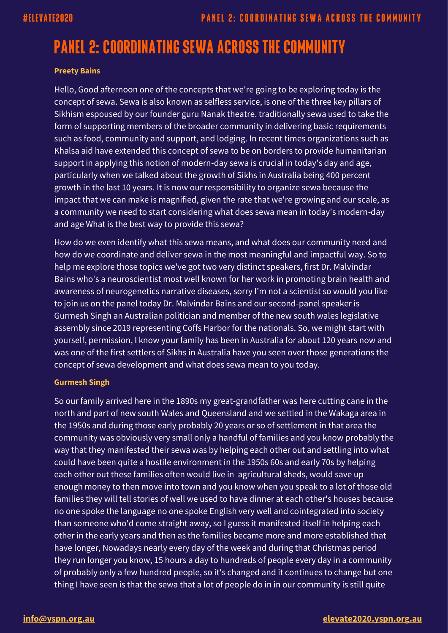# **PANEL 2: COORDINATING SEWA ACROSS THE COMMUNITY**

#### **Preety Bains**

Hello, Good afternoon one of the concepts that we're going to be exploring today is the concept of sewa. Sewa is also known as selfless service, is one of the three key pillars of Sikhism espoused by our founder guru Nanak theatre. traditionally sewa used to take the form of supporting members of the broader community in delivering basic requirements such as food, community and support, and lodging. In recent times organizations such as Khalsa aid have extended this concept of sewa to be on borders to provide humanitarian support in applying this notion of modern-day sewa is crucial in today's day and age, particularly when we talked about the growth of Sikhs in Australia being 400 percent growth in the last 10 years. It is now our responsibility to organize sewa because the impact that we can make is magnified, given the rate that we're growing and our scale, as a community we need to start considering what does sewa mean in today's modern-day and age What is the best way to provide this sewa?

How do we even identify what this sewa means, and what does our community need and how do we coordinate and deliver sewa in the most meaningful and impactful way. So to help me explore those topics we've got two very distinct speakers, first Dr. Malvindar Bains who's a neuroscientist most well known for her work in promoting brain health and awareness of neurogenetics narrative diseases, sorry I'm not a scientist so would you like to join us on the panel today Dr. Malvindar Bains and our second-panel speaker is Gurmesh Singh an Australian politician and member of the new south wales legislative assembly since 2019 representing Coffs Harbor for the nationals. So, we might start with yourself, permission, I know your family has been in Australia for about 120 years now and was one of the first settlers of Sikhs in Australia have you seen over those generations the concept of sewa development and what does sewa mean to you today.

#### **Gurmesh Singh**

So our family arrived here in the 1890s my great-grandfather was here cutting cane in the north and part of new south Wales and Queensland and we settled in the Wakaga area in the 1950s and during those early probably 20 years or so of settlement in that area the community was obviously very small only a handful of families and you know probably the way that they manifested their sewa was by helping each other out and settling into what could have been quite a hostile environment in the 1950s 60s and early 70s by helping each other out these families often would live in agricultural sheds, would save up enough money to then move into town and you know when you speak to a lot of those old families they will tell stories of well we used to have dinner at each other's houses because no one spoke the language no one spoke English very well and cointegrated into society than someone who'd come straight away, so I guess it manifested itself in helping each other in the early years and then as the families became more and more established that have longer, Nowadays nearly every day of the week and during that Christmas period they run longer you know, 15 hours a day to hundreds of people every day in a community of probably only a few hundred people, so it's changed and it continues to change but one thing I have seen is that the sewa that a lot of people do in in our community is still quite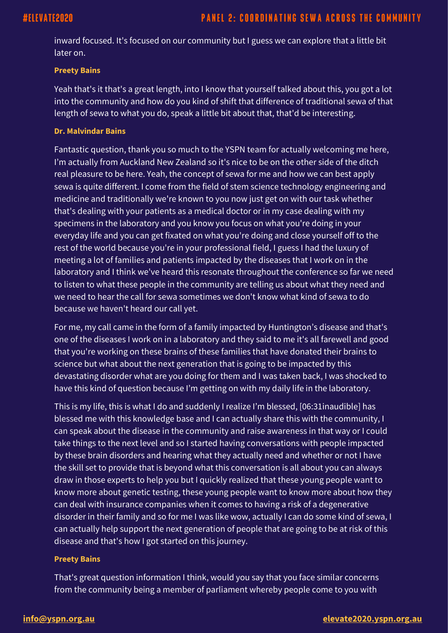inward focused. It's focused on our community but I guess we can explore that a little bit later on.

#### **Preety Bains**

Yeah that's it that's a great length, into I know that yourself talked about this, you got a lot into the community and how do you kind of shift that difference of traditional sewa of that length of sewa to what you do, speak a little bit about that, that'd be interesting.

#### **Dr. Malvindar Bains**

Fantastic question, thank you so much to the YSPN team for actually welcoming me here, I'm actually from Auckland New Zealand so it's nice to be on the other side of the ditch real pleasure to be here. Yeah, the concept of sewa for me and how we can best apply sewa is quite different. I come from the field of stem science technology engineering and medicine and traditionally we're known to you now just get on with our task whether that's dealing with your patients as a medical doctor or in my case dealing with my specimens in the laboratory and you know you focus on what you're doing in your everyday life and you can get fixated on what you're doing and close yourself off to the rest of the world because you're in your professional field, I guess I had the luxury of meeting a lot of families and patients impacted by the diseases that I work on in the laboratory and I think we've heard this resonate throughout the conference so far we need to listen to what these people in the community are telling us about what they need and we need to hear the call for sewa sometimes we don't know what kind of sewa to do because we haven't heard our call yet.

For me, my call came in the form of a family impacted by Huntington's disease and that's one of the diseases I work on in a laboratory and they said to me it's all farewell and good that you're working on these brains of these families that have donated their brains to science but what about the next generation that is going to be impacted by this devastating disorder what are you doing for them and I was taken back, I was shocked to have this kind of question because I'm getting on with my daily life in the laboratory.

This is my life, this is what I do and suddenly I realize I'm blessed, [06:31inaudible] has blessed me with this knowledge base and I can actually share this with the community, I can speak about the disease in the community and raise awareness in that way or I could take things to the next level and so I started having conversations with people impacted by these brain disorders and hearing what they actually need and whether or not I have the skill set to provide that is beyond what this conversation is all about you can always draw in those experts to help you but I quickly realized that these young people want to know more about genetic testing, these young people want to know more about how they can deal with insurance companies when it comes to having a risk of a degenerative disorder in their family and so for me I was like wow, actually I can do some kind of sewa, I can actually help support the next generation of people that are going to be at risk of this disease and that's how I got started on this journey.

#### **Preety Bains**

That's great question information I think, would you say that you face similar concerns from the community being a member of parliament whereby people come to you with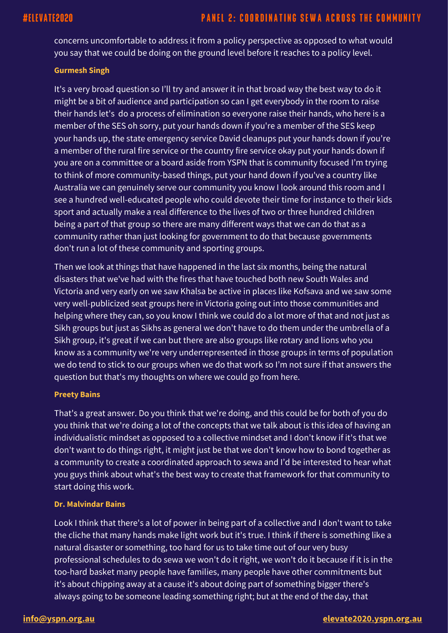concerns uncomfortable to address it from a policy perspective as opposed to what would you say that we could be doing on the ground level before it reaches to a policy level.

#### **Gurmesh Singh**

It's a very broad question so I'll try and answer it in that broad way the best way to do it might be a bit of audience and participation so can I get everybody in the room to raise their hands let's do a process of elimination so everyone raise their hands, who here is a member of the SES oh sorry, put your hands down if you're a member of the SES keep your hands up, the state emergency service David cleanups put your hands down if you're a member of the rural fire service or the country fire service okay put your hands down if you are on a committee or a board aside from YSPN that is community focused I'm trying to think of more community-based things, put your hand down if you've a country like Australia we can genuinely serve our community you know I look around this room and I see a hundred well-educated people who could devote their time for instance to their kids sport and actually make a real difference to the lives of two or three hundred children being a part of that group so there are many different ways that we can do that as a community rather than just looking for government to do that because governments don't run a lot of these community and sporting groups.

Then we look at things that have happened in the last six months, being the natural disasters that we've had with the fires that have touched both new South Wales and Victoria and very early on we saw Khalsa be active in places like Kofsava and we saw some very well-publicized seat groups here in Victoria going out into those communities and helping where they can, so you know I think we could do a lot more of that and not just as Sikh groups but just as Sikhs as general we don't have to do them under the umbrella of a Sikh group, it's great if we can but there are also groups like rotary and lions who you know as a community we're very underrepresented in those groups in terms of population we do tend to stick to our groups when we do that work so I'm not sure if that answers the question but that's my thoughts on where we could go from here.

### **Preety Bains**

That's a great answer. Do you think that we're doing, and this could be for both of you do you think that we're doing a lot of the concepts that we talk about is this idea of having an individualistic mindset as opposed to a collective mindset and I don't know if it's that we don't want to do things right, it might just be that we don't know how to bond together as a community to create a coordinated approach to sewa and I'd be interested to hear what you guys think about what's the best way to create that framework for that community to start doing this work.

### **Dr. Malvindar Bains**

Look I think that there's a lot of power in being part of a collective and I don't want to take the cliche that many hands make light work but it's true. I think if there is something like a natural disaster or something, too hard for us to take time out of our very busy professional schedules to do sewa we won't do it right, we won't do it because if it is in the too-hard basket many people have families, many people have other commitments but it's about chipping away at a cause it's about doing part of something bigger there's always going to be someone leading something right; but at the end of the day, that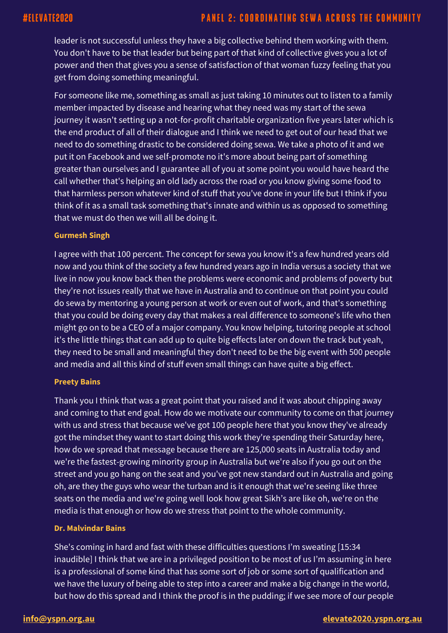leader is not successful unless they have a big collective behind them working with them. You don't have to be that leader but being part of that kind of collective gives you a lot of power and then that gives you a sense of satisfaction of that woman fuzzy feeling that you get from doing something meaningful.

For someone like me, something as small as just taking 10 minutes out to listen to a family member impacted by disease and hearing what they need was my start of the sewa journey it wasn't setting up a not-for-profit charitable organization five years later which is the end product of all of their dialogue and I think we need to get out of our head that we need to do something drastic to be considered doing sewa. We take a photo of it and we put it on Facebook and we self-promote no it's more about being part of something greater than ourselves and I guarantee all of you at some point you would have heard the call whether that's helping an old lady across the road or you know giving some food to that harmless person whatever kind of stuff that you've done in your life but I think if you think of it as a small task something that's innate and within us as opposed to something that we must do then we will all be doing it.

#### **Gurmesh Singh**

I agree with that 100 percent. The concept for sewa you know it's a few hundred years old now and you think of the society a few hundred years ago in India versus a society that we live in now you know back then the problems were economic and problems of poverty but they're not issues really that we have in Australia and to continue on that point you could do sewa by mentoring a young person at work or even out of work, and that's something that you could be doing every day that makes a real difference to someone's life who then might go on to be a CEO of a major company. You know helping, tutoring people at school it's the little things that can add up to quite big effects later on down the track but yeah, they need to be small and meaningful they don't need to be the big event with 500 people and media and all this kind of stuff even small things can have quite a big effect.

#### **Preety Bains**

Thank you I think that was a great point that you raised and it was about chipping away and coming to that end goal. How do we motivate our community to come on that journey with us and stress that because we've got 100 people here that you know they've already got the mindset they want to start doing this work they're spending their Saturday here, how do we spread that message because there are 125,000 seats in Australia today and we're the fastest-growing minority group in Australia but we're also if you go out on the street and you go hang on the seat and you've got new standard out in Australia and going oh, are they the guys who wear the turban and is it enough that we're seeing like three seats on the media and we're going well look how great Sikh's are like oh, we're on the media is that enough or how do we stress that point to the whole community.

#### **Dr. Malvindar Bains**

She's coming in hard and fast with these difficulties questions I'm sweating [15:34 inaudible] I think that we are in a privileged position to be most of us I'm assuming in here is a professional of some kind that has some sort of job or some sort of qualification and we have the luxury of being able to step into a career and make a big change in the world, but how do this spread and I think the proof is in the pudding; if we see more of our people

#### **[info@yspn.org.au](mailto:info@yspn.org.au) [elevate2020.yspn.org.au](https://elevate2020.yspn.org.au/)**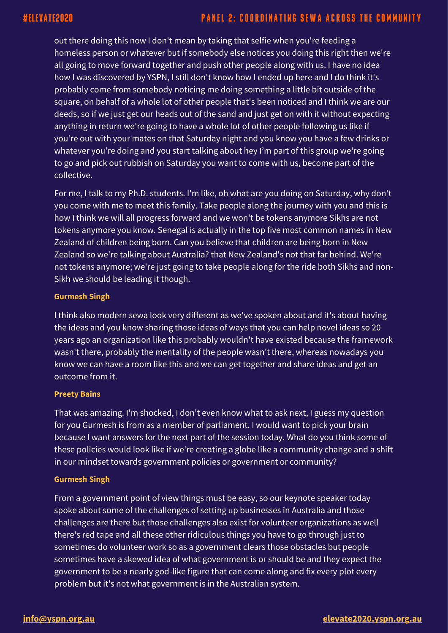out there doing this now I don't mean by taking that selfie when you're feeding a homeless person or whatever but if somebody else notices you doing this right then we're all going to move forward together and push other people along with us. I have no idea how I was discovered by YSPN, I still don't know how I ended up here and I do think it's probably come from somebody noticing me doing something a little bit outside of the square, on behalf of a whole lot of other people that's been noticed and I think we are our deeds, so if we just get our heads out of the sand and just get on with it without expecting anything in return we're going to have a whole lot of other people following us like if you're out with your mates on that Saturday night and you know you have a few drinks or whatever you're doing and you start talking about hey I'm part of this group we're going to go and pick out rubbish on Saturday you want to come with us, become part of the collective.

For me, I talk to my Ph.D. students. I'm like, oh what are you doing on Saturday, why don't you come with me to meet this family. Take people along the journey with you and this is how I think we will all progress forward and we won't be tokens anymore Sikhs are not tokens anymore you know. Senegal is actually in the top five most common names in New Zealand of children being born. Can you believe that children are being born in New Zealand so we're talking about Australia? that New Zealand's not that far behind. We're not tokens anymore; we're just going to take people along for the ride both Sikhs and non-Sikh we should be leading it though.

### **Gurmesh Singh**

I think also modern sewa look very different as we've spoken about and it's about having the ideas and you know sharing those ideas of ways that you can help novel ideas so 20 years ago an organization like this probably wouldn't have existed because the framework wasn't there, probably the mentality of the people wasn't there, whereas nowadays you know we can have a room like this and we can get together and share ideas and get an outcome from it.

### **Preety Bains**

That was amazing. I'm shocked, I don't even know what to ask next, I guess my question for you Gurmesh is from as a member of parliament. I would want to pick your brain because I want answers for the next part of the session today. What do you think some of these policies would look like if we're creating a globe like a community change and a shift in our mindset towards government policies or government or community?

### **Gurmesh Singh**

From a government point of view things must be easy, so our keynote speaker today spoke about some of the challenges of setting up businesses in Australia and those challenges are there but those challenges also exist for volunteer organizations as well there's red tape and all these other ridiculous things you have to go through just to sometimes do volunteer work so as a government clears those obstacles but people sometimes have a skewed idea of what government is or should be and they expect the government to be a nearly god-like figure that can come along and fix every plot every problem but it's not what government is in the Australian system.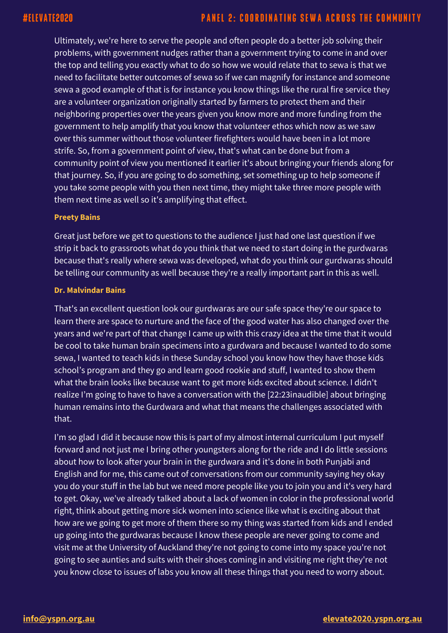Ultimately, we're here to serve the people and often people do a better job solving their problems, with government nudges rather than a government trying to come in and over the top and telling you exactly what to do so how we would relate that to sewa is that we need to facilitate better outcomes of sewa so if we can magnify for instance and someone sewa a good example of that is for instance you know things like the rural fire service they are a volunteer organization originally started by farmers to protect them and their neighboring properties over the years given you know more and more funding from the government to help amplify that you know that volunteer ethos which now as we saw over this summer without those volunteer firefighters would have been in a lot more strife. So, from a government point of view, that's what can be done but from a community point of view you mentioned it earlier it's about bringing your friends along for that journey. So, if you are going to do something, set something up to help someone if you take some people with you then next time, they might take three more people with them next time as well so it's amplifying that effect.

#### **Preety Bains**

Great just before we get to questions to the audience I just had one last question if we strip it back to grassroots what do you think that we need to start doing in the gurdwaras because that's really where sewa was developed, what do you think our gurdwaras should be telling our community as well because they're a really important part in this as well.

#### **Dr. Malvindar Bains**

That's an excellent question look our gurdwaras are our safe space they're our space to learn there are space to nurture and the face of the good water has also changed over the years and we're part of that change I came up with this crazy idea at the time that it would be cool to take human brain specimens into a gurdwara and because I wanted to do some sewa, I wanted to teach kids in these Sunday school you know how they have those kids school's program and they go and learn good rookie and stuff, I wanted to show them what the brain looks like because want to get more kids excited about science. I didn't realize I'm going to have to have a conversation with the [22:23inaudible] about bringing human remains into the Gurdwara and what that means the challenges associated with that.

I'm so glad I did it because now this is part of my almost internal curriculum I put myself forward and not just me I bring other youngsters along for the ride and I do little sessions about how to look after your brain in the gurdwara and it's done in both Punjabi and English and for me, this came out of conversations from our community saying hey okay you do your stuff in the lab but we need more people like you to join you and it's very hard to get. Okay, we've already talked about a lack of women in color in the professional world right, think about getting more sick women into science like what is exciting about that how are we going to get more of them there so my thing was started from kids and I ended up going into the gurdwaras because I know these people are never going to come and visit me at the University of Auckland they're not going to come into my space you're not going to see aunties and suits with their shoes coming in and visiting me right they're not you know close to issues of labs you know all these things that you need to worry about.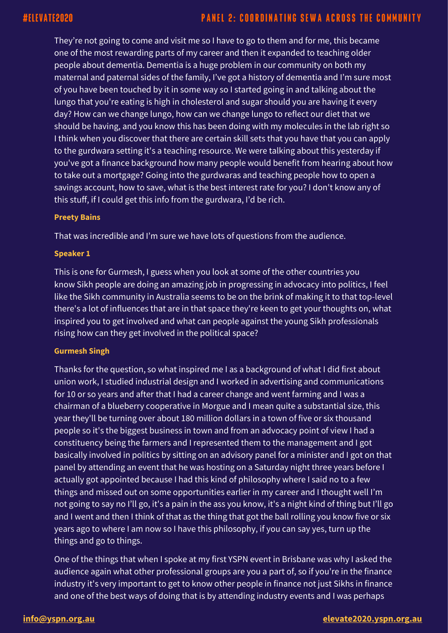They're not going to come and visit me so I have to go to them and for me, this became one of the most rewarding parts of my career and then it expanded to teaching older people about dementia. Dementia is a huge problem in our community on both my maternal and paternal sides of the family, I've got a history of dementia and I'm sure most of you have been touched by it in some way so I started going in and talking about the lungo that you're eating is high in cholesterol and sugar should you are having it every day? How can we change lungo, how can we change lungo to reflect our diet that we should be having, and you know this has been doing with my molecules in the lab right so I think when you discover that there are certain skill sets that you have that you can apply to the gurdwara setting it's a teaching resource. We were talking about this yesterday if you've got a finance background how many people would benefit from hearing about how to take out a mortgage? Going into the gurdwaras and teaching people how to open a savings account, how to save, what is the best interest rate for you? I don't know any of this stuff, if I could get this info from the gurdwara, I'd be rich.

#### **Preety Bains**

That was incredible and I'm sure we have lots of questions from the audience.

#### **Speaker 1**

This is one for Gurmesh, I guess when you look at some of the other countries you know Sikh people are doing an amazing job in progressing in advocacy into politics, I feel like the Sikh community in Australia seems to be on the brink of making it to that top-level there's a lot of influences that are in that space they're keen to get your thoughts on, what inspired you to get involved and what can people against the young Sikh professionals rising how can they get involved in the political space?

### **Gurmesh Singh**

Thanks for the question, so what inspired me I as a background of what I did first about union work, I studied industrial design and I worked in advertising and communications for 10 or so years and after that I had a career change and went farming and I was a chairman of a blueberry cooperative in Morgue and I mean quite a substantial size, this year they'll be turning over about 180 million dollars in a town of five or six thousand people so it's the biggest business in town and from an advocacy point of view I had a constituency being the farmers and I represented them to the management and I got basically involved in politics by sitting on an advisory panel for a minister and I got on that panel by attending an event that he was hosting on a Saturday night three years before I actually got appointed because I had this kind of philosophy where I said no to a few things and missed out on some opportunities earlier in my career and I thought well I'm not going to say no I'll go, it's a pain in the ass you know, it's a night kind of thing but I'll go and I went and then I think of that as the thing that got the ball rolling you know five or six years ago to where I am now so I have this philosophy, if you can say yes, turn up the things and go to things.

One of the things that when I spoke at my first YSPN event in Brisbane was why I asked the audience again what other professional groups are you a part of, so if you're in the finance industry it's very important to get to know other people in finance not just Sikhs in finance and one of the best ways of doing that is by attending industry events and I was perhaps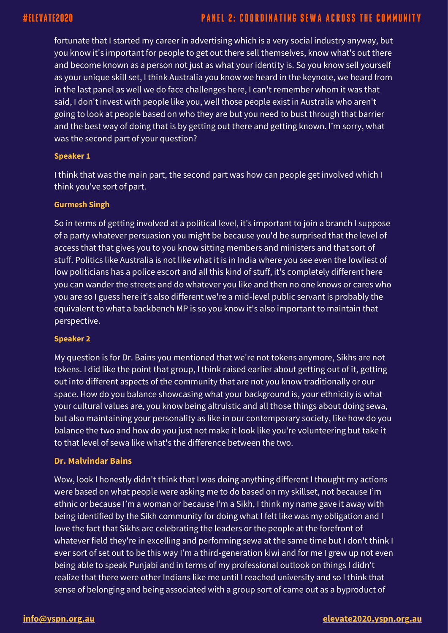## **PANEL 2: COORDINATING SEWA ACROSS THE COMMUNITY**

fortunate that I started my career in advertising which is a very social industry anyway, but you know it's important for people to get out there sell themselves, know what's out there and become known as a person not just as what your identity is. So you know sell yourself as your unique skill set, I think Australia you know we heard in the keynote, we heard from in the last panel as well we do face challenges here, I can't remember whom it was that said, I don't invest with people like you, well those people exist in Australia who aren't going to look at people based on who they are but you need to bust through that barrier and the best way of doing that is by getting out there and getting known. I'm sorry, what was the second part of your question?

#### **Speaker 1**

I think that was the main part, the second part was how can people get involved which I think you've sort of part.

#### **Gurmesh Singh**

So in terms of getting involved at a political level, it's important to join a branch I suppose of a party whatever persuasion you might be because you'd be surprised that the level of access that that gives you to you know sitting members and ministers and that sort of stuff. Politics like Australia is not like what it is in India where you see even the lowliest of low politicians has a police escort and all this kind of stuff, it's completely different here you can wander the streets and do whatever you like and then no one knows or cares who you are so I guess here it's also different we're a mid-level public servant is probably the equivalent to what a backbench MP is so you know it's also important to maintain that perspective.

#### **Speaker 2**

My question is for Dr. Bains you mentioned that we're not tokens anymore, Sikhs are not tokens. I did like the point that group, I think raised earlier about getting out of it, getting out into different aspects of the community that are not you know traditionally or our space. How do you balance showcasing what your background is, your ethnicity is what your cultural values are, you know being altruistic and all those things about doing sewa, but also maintaining your personality as like in our contemporary society, like how do you balance the two and how do you just not make it look like you're volunteering but take it to that level of sewa like what's the difference between the two.

### **Dr. Malvindar Bains**

Wow, look I honestly didn't think that I was doing anything different I thought my actions were based on what people were asking me to do based on my skillset, not because I'm ethnic or because I'm a woman or because I'm a Sikh, I think my name gave it away with being identified by the Sikh community for doing what I felt like was my obligation and I love the fact that Sikhs are celebrating the leaders or the people at the forefront of whatever field they're in excelling and performing sewa at the same time but I don't think I ever sort of set out to be this way I'm a third-generation kiwi and for me I grew up not even being able to speak Punjabi and in terms of my professional outlook on things I didn't realize that there were other Indians like me until I reached university and so I think that sense of belonging and being associated with a group sort of came out as a byproduct of

### **[info@yspn.org.au](mailto:info@yspn.org.au) [elevate2020.yspn.org.au](https://elevate2020.yspn.org.au/)**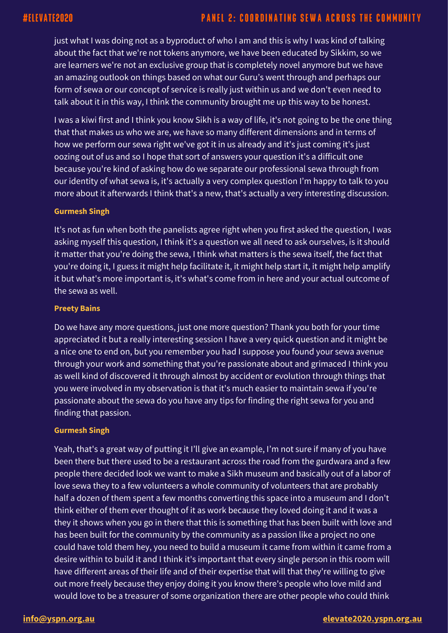just what I was doing not as a byproduct of who I am and this is why I was kind of talking about the fact that we're not tokens anymore, we have been educated by Sikkim, so we are learners we're not an exclusive group that is completely novel anymore but we have an amazing outlook on things based on what our Guru's went through and perhaps our form of sewa or our concept of service is really just within us and we don't even need to talk about it in this way, I think the community brought me up this way to be honest.

I was a kiwi first and I think you know Sikh is a way of life, it's not going to be the one thing that that makes us who we are, we have so many different dimensions and in terms of how we perform our sewa right we've got it in us already and it's just coming it's just oozing out of us and so I hope that sort of answers your question it's a difficult one because you're kind of asking how do we separate our professional sewa through from our identity of what sewa is, it's actually a very complex question I'm happy to talk to you more about it afterwards I think that's a new, that's actually a very interesting discussion.

### **Gurmesh Singh**

It's not as fun when both the panelists agree right when you first asked the question, I was asking myself this question, I think it's a question we all need to ask ourselves, is it should it matter that you're doing the sewa, I think what matters is the sewa itself, the fact that you're doing it, I guess it might help facilitate it, it might help start it, it might help amplify it but what's more important is, it's what's come from in here and your actual outcome of the sewa as well.

#### **Preety Bains**

Do we have any more questions, just one more question? Thank you both for your time appreciated it but a really interesting session I have a very quick question and it might be a nice one to end on, but you remember you had I suppose you found your sewa avenue through your work and something that you're passionate about and grimaced I think you as well kind of discovered it through almost by accident or evolution through things that you were involved in my observation is that it's much easier to maintain sewa if you're passionate about the sewa do you have any tips for finding the right sewa for you and finding that passion.

#### **Gurmesh Singh**

Yeah, that's a great way of putting it I'll give an example, I'm not sure if many of you have been there but there used to be a restaurant across the road from the gurdwara and a few people there decided look we want to make a Sikh museum and basically out of a labor of love sewa they to a few volunteers a whole community of volunteers that are probably half a dozen of them spent a few months converting this space into a museum and I don't think either of them ever thought of it as work because they loved doing it and it was a they it shows when you go in there that this is something that has been built with love and has been built for the community by the community as a passion like a project no one could have told them hey, you need to build a museum it came from within it came from a desire within to build it and I think it's important that every single person in this room will have different areas of their life and of their expertise that will that they're willing to give out more freely because they enjoy doing it you know there's people who love mild and would love to be a treasurer of some organization there are other people who could think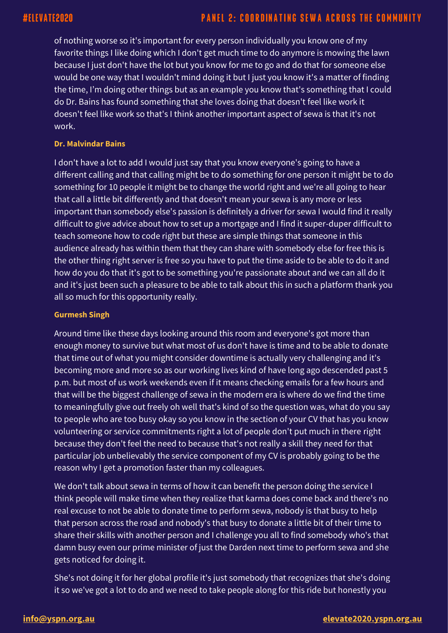of nothing worse so it's important for every person individually you know one of my favorite things I like doing which I don't get much time to do anymore is mowing the lawn because I just don't have the lot but you know for me to go and do that for someone else would be one way that I wouldn't mind doing it but I just you know it's a matter of finding the time, I'm doing other things but as an example you know that's something that I could do Dr. Bains has found something that she loves doing that doesn't feel like work it doesn't feel like work so that's I think another important aspect of sewa is that it's not work.

#### **Dr. Malvindar Bains**

I don't have a lot to add I would just say that you know everyone's going to have a different calling and that calling might be to do something for one person it might be to do something for 10 people it might be to change the world right and we're all going to hear that call a little bit differently and that doesn't mean your sewa is any more or less important than somebody else's passion is definitely a driver for sewa I would find it really difficult to give advice about how to set up a mortgage and I find it super-duper difficult to teach someone how to code right but these are simple things that someone in this audience already has within them that they can share with somebody else for free this is the other thing right server is free so you have to put the time aside to be able to do it and how do you do that it's got to be something you're passionate about and we can all do it and it's just been such a pleasure to be able to talk about this in such a platform thank you all so much for this opportunity really.

#### **Gurmesh Singh**

Around time like these days looking around this room and everyone's got more than enough money to survive but what most of us don't have is time and to be able to donate that time out of what you might consider downtime is actually very challenging and it's becoming more and more so as our working lives kind of have long ago descended past 5 p.m. but most of us work weekends even if it means checking emails for a few hours and that will be the biggest challenge of sewa in the modern era is where do we find the time to meaningfully give out freely oh well that's kind of so the question was, what do you say to people who are too busy okay so you know in the section of your CV that has you know volunteering or service commitments right a lot of people don't put much in there right because they don't feel the need to because that's not really a skill they need for that particular job unbelievably the service component of my CV is probably going to be the reason why I get a promotion faster than my colleagues.

We don't talk about sewa in terms of how it can benefit the person doing the service I think people will make time when they realize that karma does come back and there's no real excuse to not be able to donate time to perform sewa, nobody is that busy to help that person across the road and nobody's that busy to donate a little bit of their time to share their skills with another person and I challenge you all to find somebody who's that damn busy even our prime minister of just the Darden next time to perform sewa and she gets noticed for doing it.

She's not doing it for her global profile it's just somebody that recognizes that she's doing it so we've got a lot to do and we need to take people along for this ride but honestly you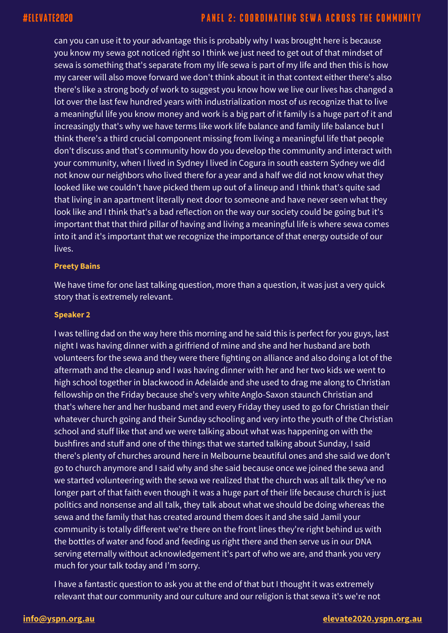can you can use it to your advantage this is probably why I was brought here is because you know my sewa got noticed right so I think we just need to get out of that mindset of sewa is something that's separate from my life sewa is part of my life and then this is how my career will also move forward we don't think about it in that context either there's also there's like a strong body of work to suggest you know how we live our lives has changed a lot over the last few hundred years with industrialization most of us recognize that to live a meaningful life you know money and work is a big part of it family is a huge part of it and increasingly that's why we have terms like work life balance and family life balance but I think there's a third crucial component missing from living a meaningful life that people don't discuss and that's community how do you develop the community and interact with your community, when I lived in Sydney I lived in Cogura in south eastern Sydney we did not know our neighbors who lived there for a year and a half we did not know what they looked like we couldn't have picked them up out of a lineup and I think that's quite sad that living in an apartment literally next door to someone and have never seen what they look like and I think that's a bad reflection on the way our society could be going but it's important that that third pillar of having and living a meaningful life is where sewa comes into it and it's important that we recognize the importance of that energy outside of our lives.

#### **Preety Bains**

We have time for one last talking question, more than a question, it was just a very quick story that is extremely relevant.

#### **Speaker 2**

I was telling dad on the way here this morning and he said this is perfect for you guys, last night I was having dinner with a girlfriend of mine and she and her husband are both volunteers for the sewa and they were there fighting on alliance and also doing a lot of the aftermath and the cleanup and I was having dinner with her and her two kids we went to high school together in blackwood in Adelaide and she used to drag me along to Christian fellowship on the Friday because she's very white Anglo-Saxon staunch Christian and that's where her and her husband met and every Friday they used to go for Christian their whatever church going and their Sunday schooling and very into the youth of the Christian school and stuff like that and we were talking about what was happening on with the bushfires and stuff and one of the things that we started talking about Sunday, I said there's plenty of churches around here in Melbourne beautiful ones and she said we don't go to church anymore and I said why and she said because once we joined the sewa and we started volunteering with the sewa we realized that the church was all talk they've no longer part of that faith even though it was a huge part of their life because church is just politics and nonsense and all talk, they talk about what we should be doing whereas the sewa and the family that has created around them does it and she said Jamil your community is totally different we're there on the front lines they're right behind us with the bottles of water and food and feeding us right there and then serve us in our DNA serving eternally without acknowledgement it's part of who we are, and thank you very much for your talk today and I'm sorry.

I have a fantastic question to ask you at the end of that but I thought it was extremely relevant that our community and our culture and our religion is that sewa it's we're not